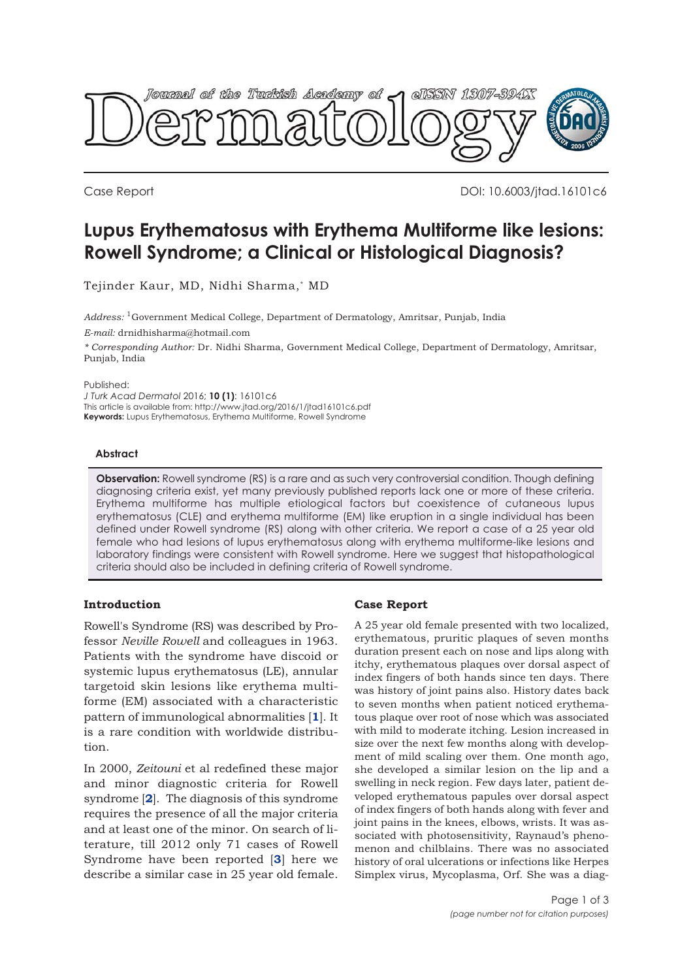

Case Report DOI: 10.6003/jtad.16101c6

# **Lupus Erythematosus with Erythema Multiforme like lesions: Rowell Syndrome; a Clinical or Histological Diagnosis?**

Tejinder Kaur, MD, Nidhi Sharma,\* MD

*Address:* 1Government Medical College, Department of Dermatology, Amritsar, Punjab, India

*E-mail:* drnidhisharma@hotmail.com

*\* Corresponding Author:* Dr. Nidhi Sharma, Government Medical College, Department of Dermatology, Amritsar, Punjab, India

Published:

*J Turk Acad Dermatol* 2016; **10 (1)**: 16101c6 This article is available from: http://www.jtad.org/2016/1/jtad16101c6.pdf **Keywords:** Lupus Erythematosus, Erythema Multiforme, Rowell Syndrome

# **Abstract**

**Observation:** Rowell syndrome (RS) is a rare and as such very controversial condition. Though defining diagnosing criteria exist, yet many previously published reports lack one or more of these criteria. Erythema multiforme has multiple etiological factors but coexistence of cutaneous lupus erythematosus (CLE) and erythema multiforme (EM) like eruption in a single individual has been defined under Rowell syndrome (RS) along with other criteria. We report a case of a 25 year old female who had lesions of lupus erythematosus along with erythema multiforme-like lesions and laboratory findings were consistent with Rowell syndrome. Here we suggest that histopathological criteria should also be included in defining criteria of Rowell syndrome.

# **Introduction**

Rowell's Syndrome (RS) was described by Professor *Neville Rowell* and colleagues in 1963. Patients with the syndrome have discoid or systemic lupus erythematosus (LE), annular targetoid skin lesions like erythema multiforme (EM) associated with a characteristic pattern of immunological abnormalities [**[1](#page-2-0)**]. It is a rare condition with worldwide distribution.

In 2000, *Zeitouni* et al redefined these major and minor diagnostic criteria for Rowell syndrome [**[2](#page-2-0)**]. The diagnosis of this syndrome requires the presence of all the major criteria and at least one of the minor. On search of literature, till 2012 only 71 cases of Rowell Syndrome have been reported [**[3](#page-2-0)**] here we describe a similar case in 25 year old female.

# **Case Report**

A 25 year old female presented with two localized, erythematous, pruritic plaques of seven months duration present each on nose and lips along with itchy, erythematous plaques over dorsal aspect of index fingers of both hands since ten days. There was history of joint pains also. History dates back to seven months when patient noticed erythematous plaque over root of nose which was associated with mild to moderate itching. Lesion increased in size over the next few months along with development of mild scaling over them. One month ago, she developed a similar lesion on the lip and a swelling in neck region. Few days later, patient developed erythematous papules over dorsal aspect of index fingers of both hands along with fever and joint pains in the knees, elbows, wrists. It was associated with photosensitivity, Raynaud's phenomenon and chilblains. There was no associated history of oral ulcerations or infections like Herpes Simplex virus, Mycoplasma, Orf. She was a diag-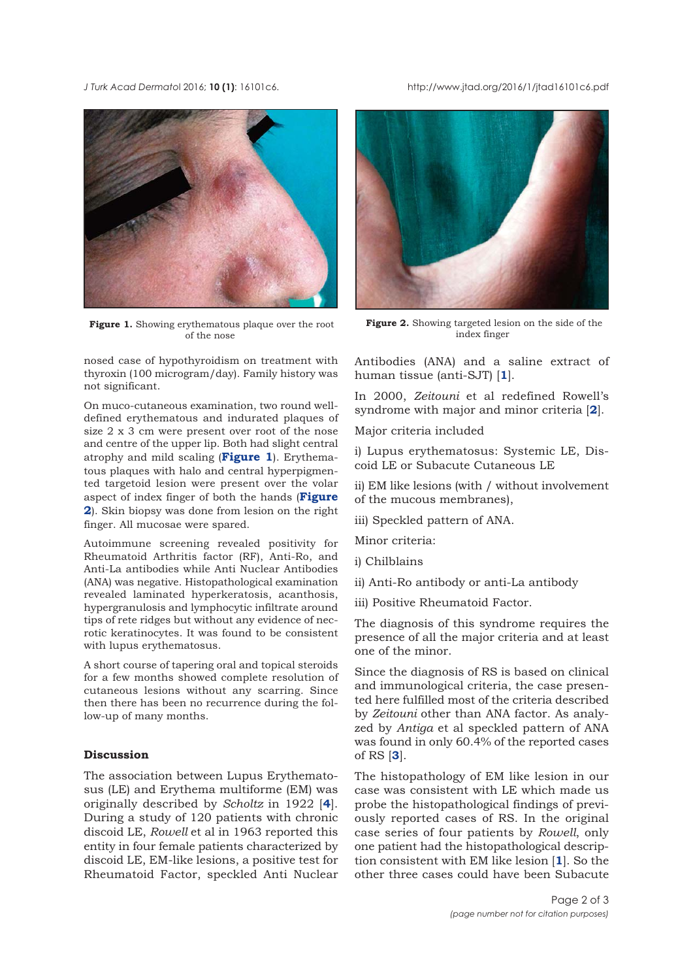### *J Turk Acad Dermato*l 2016; **10 (1)**: 16101c6. http://www.jtad.org/2016/1/jtad16101c6.pdf



**Figure 1.** Showing erythematous plaque over the root of the nose

nosed case of hypothyroidism on treatment with thyroxin (100 microgram/day). Family history was not significant.

On muco-cutaneous examination, two round welldefined erythematous and indurated plaques of size 2 x 3 cm were present over root of the nose and centre of the upper lip. Both had slight central atrophy and mild scaling (**Figure 1**). Erythematous plaques with halo and central hyperpigmented targetoid lesion were present over the volar aspect of index finger of both the hands (**Figure 2**). Skin biopsy was done from lesion on the right finger. All mucosae were spared.

Autoimmune screening revealed positivity for Rheumatoid Arthritis factor (RF), Anti-Ro, and Anti-La antibodies while Anti Nuclear Antibodies (ANA) was negative. Histopathological examination revealed laminated hyperkeratosis, acanthosis, hypergranulosis and lymphocytic infiltrate around tips of rete ridges but without any evidence of necrotic keratinocytes. It was found to be consistent with lupus erythematosus.

A short course of tapering oral and topical steroids for a few months showed complete resolution of cutaneous lesions without any scarring. Since then there has been no recurrence during the follow-up of many months.

### **Discussion**

The association between Lupus Erythematosus (LE) and Erythema multiforme (EM) was originally described by *Scholtz* in 1922 [**[4](#page-2-0)**]. During a study of 120 patients with chronic discoid LE, *Rowell* et al in 1963 reported this entity in four female patients characterized by discoid LE, EM-like lesions, a positive test for Rheumatoid Factor, speckled Anti Nuclear



**Figure 2.** Showing targeted lesion on the side of the index finger

Antibodies (ANA) and a saline extract of human tissue (anti-SJT) [**[1](#page-2-0)**].

In 2000, *Zeitouni* et al redefined Rowell's syndrome with major and minor criteria [**[2](#page-2-0)**].

Major criteria included

i) Lupus erythematosus: Systemic LE, Discoid LE or Subacute Cutaneous LE

ii) EM like lesions (with / without involvement of the mucous membranes),

iii) Speckled pattern of ANA.

Minor criteria:

- i) Chilblains
- ii) Anti-Ro antibody or anti-La antibody
- iii) Positive Rheumatoid Factor.

The diagnosis of this syndrome requires the presence of all the major criteria and at least one of the minor.

Since the diagnosis of RS is based on clinical and immunological criteria, the case presented here fulfilled most of the criteria described by *Zeitouni* other than ANA factor. As analyzed by *Antiga* et al speckled pattern of ANA was found in only 60.4% of the reported cases of RS [**[3](#page-2-0)**].

The histopathology of EM like lesion in our case was consistent with LE which made us probe the histopathological findings of previously reported cases of RS. In the original case series of four patients by *Rowell*, only one patient had the histopathological description consistent with EM like lesion [**[1](#page-2-0)**]. So the other three cases could have been Subacute